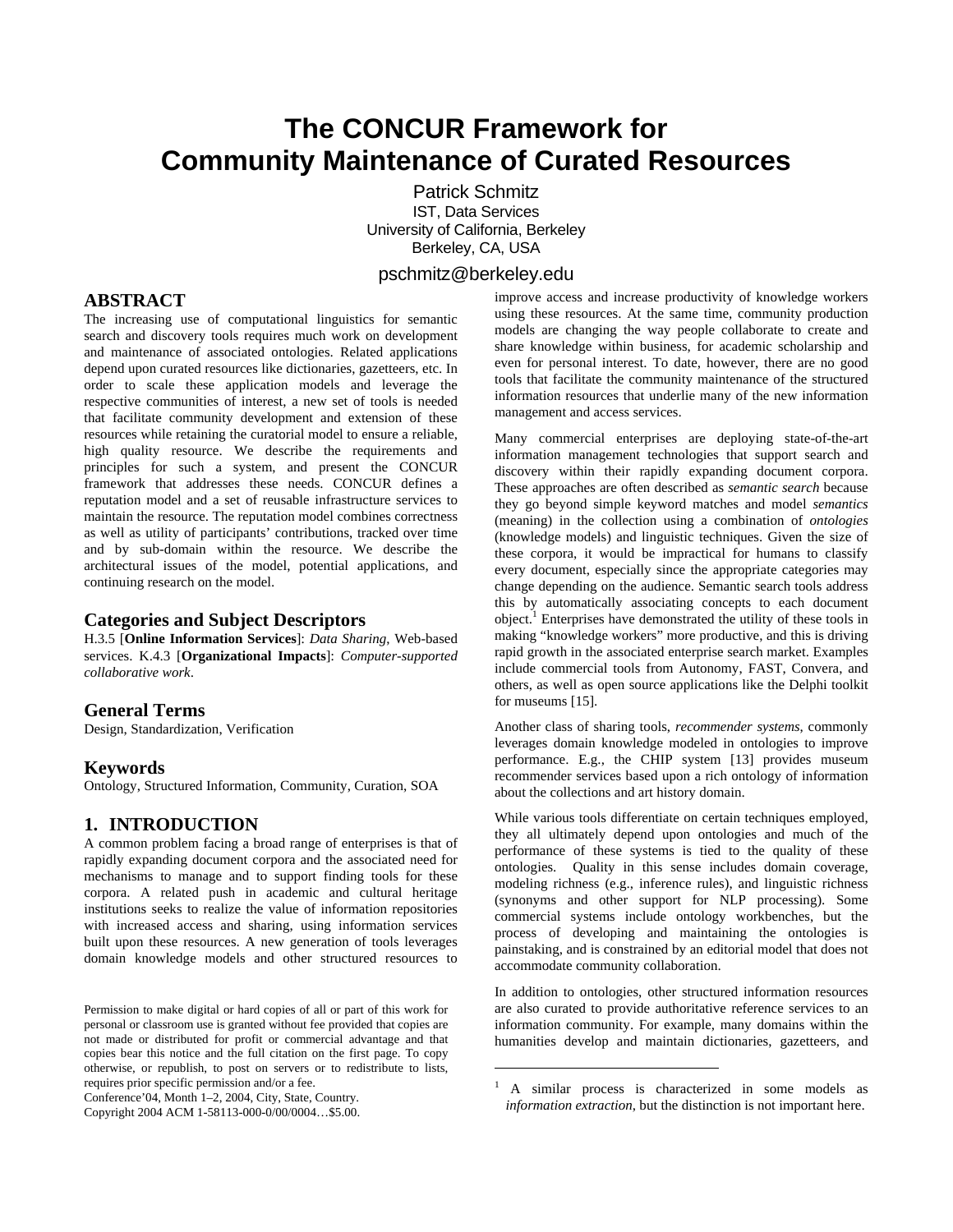# **The CONCUR Framework for Community Maintenance of Curated Resources**

 Patrick Schmitz IST, Data Services University of California, Berkeley Berkeley, CA, USA

# pschmitz@berkeley.edu

1

# **ABSTRACT**

The increasing use of computational linguistics for semantic search and discovery tools requires much work on development and maintenance of associated ontologies. Related applications depend upon curated resources like dictionaries, gazetteers, etc. In order to scale these application models and leverage the respective communities of interest, a new set of tools is needed that facilitate community development and extension of these resources while retaining the curatorial model to ensure a reliable, high quality resource. We describe the requirements and principles for such a system, and present the CONCUR framework that addresses these needs. CONCUR defines a reputation model and a set of reusable infrastructure services to maintain the resource. The reputation model combines correctness as well as utility of participants' contributions, tracked over time and by sub-domain within the resource. We describe the architectural issues of the model, potential applications, and continuing research on the model.

## **Categories and Subject Descriptors**

H.3.5 [**Online Information Services**]: *Data Sharing*, Web-based services. K.4.3 [**Organizational Impacts**]: *Computer-supported collaborative work*.

# **General Terms**

Design, Standardization, Verification

### **Keywords**

Ontology, Structured Information, Community, Curation, SOA

# **1. INTRODUCTION**

A common problem facing a broad range of enterprises is that of rapidly expanding document corpora and the associated need for mechanisms to manage and to support finding tools for these corpora. A related push in academic and cultural heritage institutions seeks to realize the value of information repositories with increased access and sharing, using information services built upon these resources. A new generation of tools leverages domain knowledge models and other structured resources to

Conference'04, Month 1–2, 2004, City, State, Country.

Copyright 2004 ACM 1-58113-000-0/00/0004…\$5.00.

improve access and increase productivity of knowledge workers using these resources. At the same time, community production models are changing the way people collaborate to create and share knowledge within business, for academic scholarship and even for personal interest. To date, however, there are no good tools that facilitate the community maintenance of the structured information resources that underlie many of the new information management and access services.

Many commercial enterprises are deploying state-of-the-art information management technologies that support search and discovery within their rapidly expanding document corpora. These approaches are often described as *semantic search* because they go beyond simple keyword matches and model *semantics* (meaning) in the collection using a combination of *ontologies* (knowledge models) and linguistic techniques. Given the size of these corpora, it would be impractical for humans to classify every document, especially since the appropriate categories may change depending on the audience. Semantic search tools address this by automatically associating concepts to each document object.<sup>1</sup> Enterprises have demonstrated the utility of these tools in making "knowledge workers" more productive, and this is driving rapid growth in the associated enterprise search market. Examples include commercial tools from Autonomy, FAST, Convera, and others, as well as open source applications like the Delphi toolkit for museums [15].

Another class of sharing tools, *recommender systems*, commonly leverages domain knowledge modeled in ontologies to improve performance. E.g., the CHIP system [13] provides museum recommender services based upon a rich ontology of information about the collections and art history domain.

While various tools differentiate on certain techniques employed, they all ultimately depend upon ontologies and much of the performance of these systems is tied to the quality of these ontologies. Quality in this sense includes domain coverage, modeling richness (e.g., inference rules), and linguistic richness (synonyms and other support for NLP processing). Some commercial systems include ontology workbenches, but the process of developing and maintaining the ontologies is painstaking, and is constrained by an editorial model that does not accommodate community collaboration.

In addition to ontologies, other structured information resources are also curated to provide authoritative reference services to an information community. For example, many domains within the humanities develop and maintain dictionaries, gazetteers, and

Permission to make digital or hard copies of all or part of this work for personal or classroom use is granted without fee provided that copies are not made or distributed for profit or commercial advantage and that copies bear this notice and the full citation on the first page. To copy otherwise, or republish, to post on servers or to redistribute to lists, requires prior specific permission and/or a fee.

<sup>1</sup> A similar process is characterized in some models as *information extraction*, but the distinction is not important here.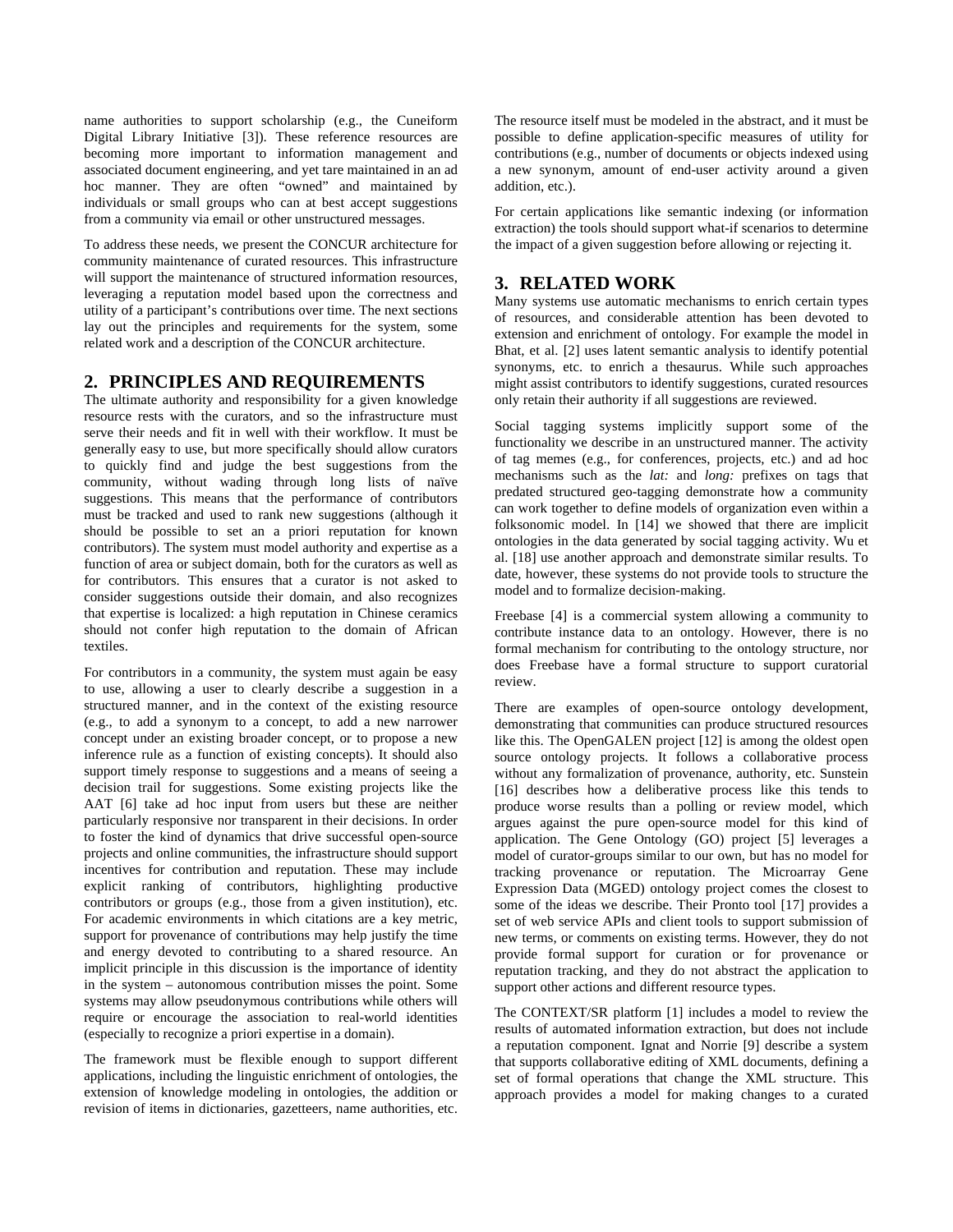name authorities to support scholarship (e.g., the Cuneiform Digital Library Initiative [3]). These reference resources are becoming more important to information management and associated document engineering, and yet tare maintained in an ad hoc manner. They are often "owned" and maintained by individuals or small groups who can at best accept suggestions from a community via email or other unstructured messages.

To address these needs, we present the CONCUR architecture for community maintenance of curated resources. This infrastructure will support the maintenance of structured information resources, leveraging a reputation model based upon the correctness and utility of a participant's contributions over time. The next sections lay out the principles and requirements for the system, some related work and a description of the CONCUR architecture.

# **2. PRINCIPLES AND REQUIREMENTS**

The ultimate authority and responsibility for a given knowledge resource rests with the curators, and so the infrastructure must serve their needs and fit in well with their workflow. It must be generally easy to use, but more specifically should allow curators to quickly find and judge the best suggestions from the community, without wading through long lists of naïve suggestions. This means that the performance of contributors must be tracked and used to rank new suggestions (although it should be possible to set an a priori reputation for known contributors). The system must model authority and expertise as a function of area or subject domain, both for the curators as well as for contributors. This ensures that a curator is not asked to consider suggestions outside their domain, and also recognizes that expertise is localized: a high reputation in Chinese ceramics should not confer high reputation to the domain of African textiles.

For contributors in a community, the system must again be easy to use, allowing a user to clearly describe a suggestion in a structured manner, and in the context of the existing resource (e.g., to add a synonym to a concept, to add a new narrower concept under an existing broader concept, or to propose a new inference rule as a function of existing concepts). It should also support timely response to suggestions and a means of seeing a decision trail for suggestions. Some existing projects like the AAT [6] take ad hoc input from users but these are neither particularly responsive nor transparent in their decisions. In order to foster the kind of dynamics that drive successful open-source projects and online communities, the infrastructure should support incentives for contribution and reputation. These may include explicit ranking of contributors, highlighting productive contributors or groups (e.g., those from a given institution), etc. For academic environments in which citations are a key metric, support for provenance of contributions may help justify the time and energy devoted to contributing to a shared resource. An implicit principle in this discussion is the importance of identity in the system – autonomous contribution misses the point. Some systems may allow pseudonymous contributions while others will require or encourage the association to real-world identities (especially to recognize a priori expertise in a domain).

The framework must be flexible enough to support different applications, including the linguistic enrichment of ontologies, the extension of knowledge modeling in ontologies, the addition or revision of items in dictionaries, gazetteers, name authorities, etc. The resource itself must be modeled in the abstract, and it must be possible to define application-specific measures of utility for contributions (e.g., number of documents or objects indexed using a new synonym, amount of end-user activity around a given addition, etc.).

For certain applications like semantic indexing (or information extraction) the tools should support what-if scenarios to determine the impact of a given suggestion before allowing or rejecting it.

# **3. RELATED WORK**

Many systems use automatic mechanisms to enrich certain types of resources, and considerable attention has been devoted to extension and enrichment of ontology. For example the model in Bhat, et al. [2] uses latent semantic analysis to identify potential synonyms, etc. to enrich a thesaurus. While such approaches might assist contributors to identify suggestions, curated resources only retain their authority if all suggestions are reviewed.

Social tagging systems implicitly support some of the functionality we describe in an unstructured manner. The activity of tag memes (e.g., for conferences, projects, etc.) and ad hoc mechanisms such as the *lat:* and *long:* prefixes on tags that predated structured geo-tagging demonstrate how a community can work together to define models of organization even within a folksonomic model. In [14] we showed that there are implicit ontologies in the data generated by social tagging activity. Wu et al. [18] use another approach and demonstrate similar results. To date, however, these systems do not provide tools to structure the model and to formalize decision-making.

Freebase [4] is a commercial system allowing a community to contribute instance data to an ontology. However, there is no formal mechanism for contributing to the ontology structure, nor does Freebase have a formal structure to support curatorial review.

There are examples of open-source ontology development, demonstrating that communities can produce structured resources like this. The OpenGALEN project [12] is among the oldest open source ontology projects. It follows a collaborative process without any formalization of provenance, authority, etc. Sunstein [16] describes how a deliberative process like this tends to produce worse results than a polling or review model, which argues against the pure open-source model for this kind of application. The Gene Ontology (GO) project [5] leverages a model of curator-groups similar to our own, but has no model for tracking provenance or reputation. The Microarray Gene Expression Data (MGED) ontology project comes the closest to some of the ideas we describe. Their Pronto tool [17] provides a set of web service APIs and client tools to support submission of new terms, or comments on existing terms. However, they do not provide formal support for curation or for provenance or reputation tracking, and they do not abstract the application to support other actions and different resource types.

The CONTEXT/SR platform [1] includes a model to review the results of automated information extraction, but does not include a reputation component. Ignat and Norrie [9] describe a system that supports collaborative editing of XML documents, defining a set of formal operations that change the XML structure. This approach provides a model for making changes to a curated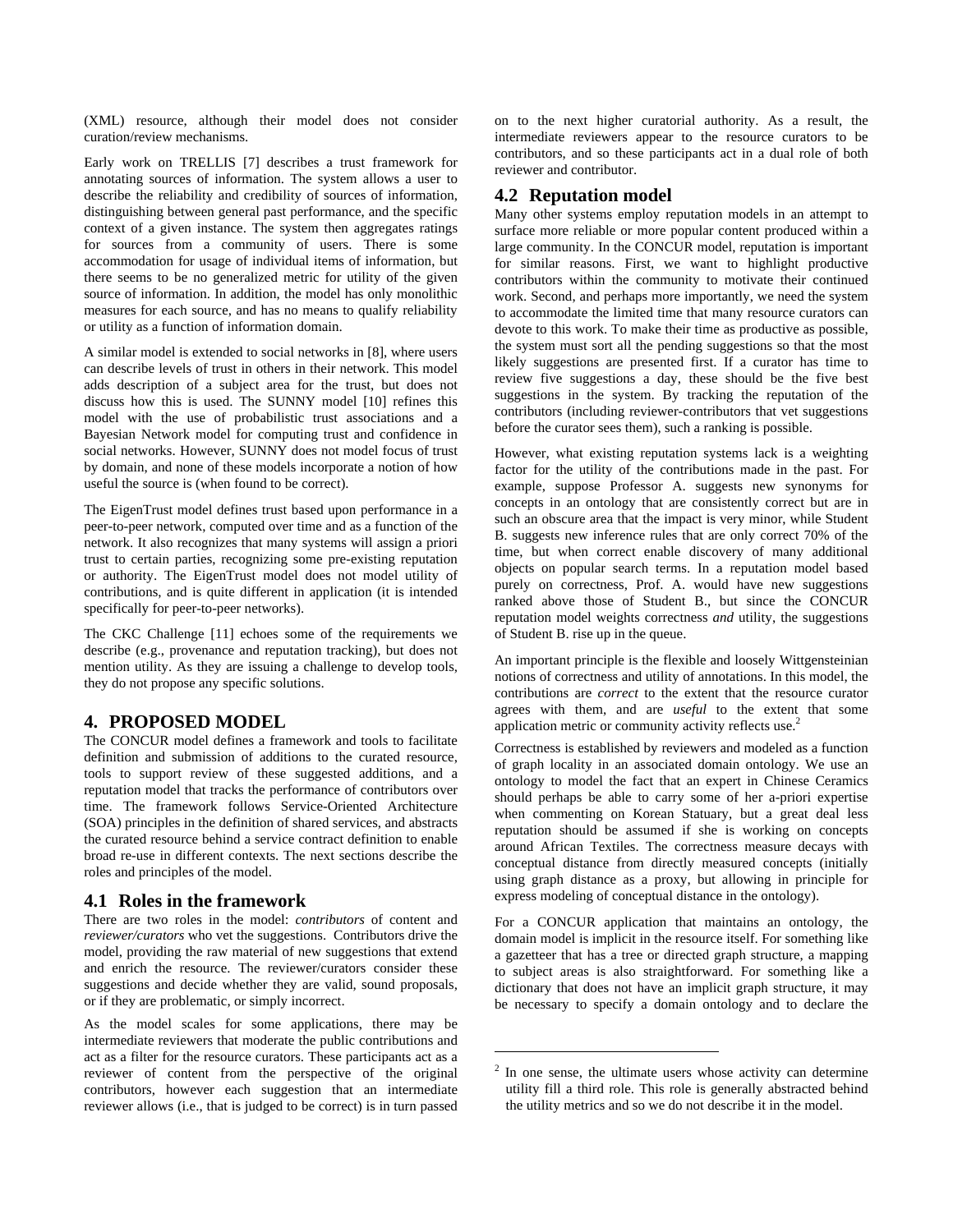(XML) resource, although their model does not consider curation/review mechanisms.

Early work on TRELLIS [7] describes a trust framework for annotating sources of information. The system allows a user to describe the reliability and credibility of sources of information, distinguishing between general past performance, and the specific context of a given instance. The system then aggregates ratings for sources from a community of users. There is some accommodation for usage of individual items of information, but there seems to be no generalized metric for utility of the given source of information. In addition, the model has only monolithic measures for each source, and has no means to qualify reliability or utility as a function of information domain.

A similar model is extended to social networks in [8], where users can describe levels of trust in others in their network. This model adds description of a subject area for the trust, but does not discuss how this is used. The SUNNY model [10] refines this model with the use of probabilistic trust associations and a Bayesian Network model for computing trust and confidence in social networks. However, SUNNY does not model focus of trust by domain, and none of these models incorporate a notion of how useful the source is (when found to be correct).

The EigenTrust model defines trust based upon performance in a peer-to-peer network, computed over time and as a function of the network. It also recognizes that many systems will assign a priori trust to certain parties, recognizing some pre-existing reputation or authority. The EigenTrust model does not model utility of contributions, and is quite different in application (it is intended specifically for peer-to-peer networks).

The CKC Challenge [11] echoes some of the requirements we describe (e.g., provenance and reputation tracking), but does not mention utility. As they are issuing a challenge to develop tools, they do not propose any specific solutions.

# **4. PROPOSED MODEL**

The CONCUR model defines a framework and tools to facilitate definition and submission of additions to the curated resource, tools to support review of these suggested additions, and a reputation model that tracks the performance of contributors over time. The framework follows Service-Oriented Architecture (SOA) principles in the definition of shared services, and abstracts the curated resource behind a service contract definition to enable broad re-use in different contexts. The next sections describe the roles and principles of the model.

#### **4.1 Roles in the framework**

There are two roles in the model: *contributors* of content and *reviewer/curators* who vet the suggestions. Contributors drive the model, providing the raw material of new suggestions that extend and enrich the resource. The reviewer/curators consider these suggestions and decide whether they are valid, sound proposals, or if they are problematic, or simply incorrect.

As the model scales for some applications, there may be intermediate reviewers that moderate the public contributions and act as a filter for the resource curators. These participants act as a reviewer of content from the perspective of the original contributors, however each suggestion that an intermediate reviewer allows (i.e., that is judged to be correct) is in turn passed

on to the next higher curatorial authority. As a result, the intermediate reviewers appear to the resource curators to be contributors, and so these participants act in a dual role of both reviewer and contributor.

## **4.2 Reputation model**

Many other systems employ reputation models in an attempt to surface more reliable or more popular content produced within a large community. In the CONCUR model, reputation is important for similar reasons. First, we want to highlight productive contributors within the community to motivate their continued work. Second, and perhaps more importantly, we need the system to accommodate the limited time that many resource curators can devote to this work. To make their time as productive as possible, the system must sort all the pending suggestions so that the most likely suggestions are presented first. If a curator has time to review five suggestions a day, these should be the five best suggestions in the system. By tracking the reputation of the contributors (including reviewer-contributors that vet suggestions before the curator sees them), such a ranking is possible.

However, what existing reputation systems lack is a weighting factor for the utility of the contributions made in the past. For example, suppose Professor A. suggests new synonyms for concepts in an ontology that are consistently correct but are in such an obscure area that the impact is very minor, while Student B. suggests new inference rules that are only correct 70% of the time, but when correct enable discovery of many additional objects on popular search terms. In a reputation model based purely on correctness, Prof. A. would have new suggestions ranked above those of Student B., but since the CONCUR reputation model weights correctness *and* utility, the suggestions of Student B. rise up in the queue.

An important principle is the flexible and loosely Wittgensteinian notions of correctness and utility of annotations. In this model, the contributions are *correct* to the extent that the resource curator agrees with them, and are *useful* to the extent that some application metric or community activity reflects use.<sup>2</sup>

Correctness is established by reviewers and modeled as a function of graph locality in an associated domain ontology. We use an ontology to model the fact that an expert in Chinese Ceramics should perhaps be able to carry some of her a-priori expertise when commenting on Korean Statuary, but a great deal less reputation should be assumed if she is working on concepts around African Textiles. The correctness measure decays with conceptual distance from directly measured concepts (initially using graph distance as a proxy, but allowing in principle for express modeling of conceptual distance in the ontology).

For a CONCUR application that maintains an ontology, the domain model is implicit in the resource itself. For something like a gazetteer that has a tree or directed graph structure, a mapping to subject areas is also straightforward. For something like a dictionary that does not have an implicit graph structure, it may be necessary to specify a domain ontology and to declare the

 $\overline{a}$ 

 $2$  In one sense, the ultimate users whose activity can determine utility fill a third role. This role is generally abstracted behind the utility metrics and so we do not describe it in the model.